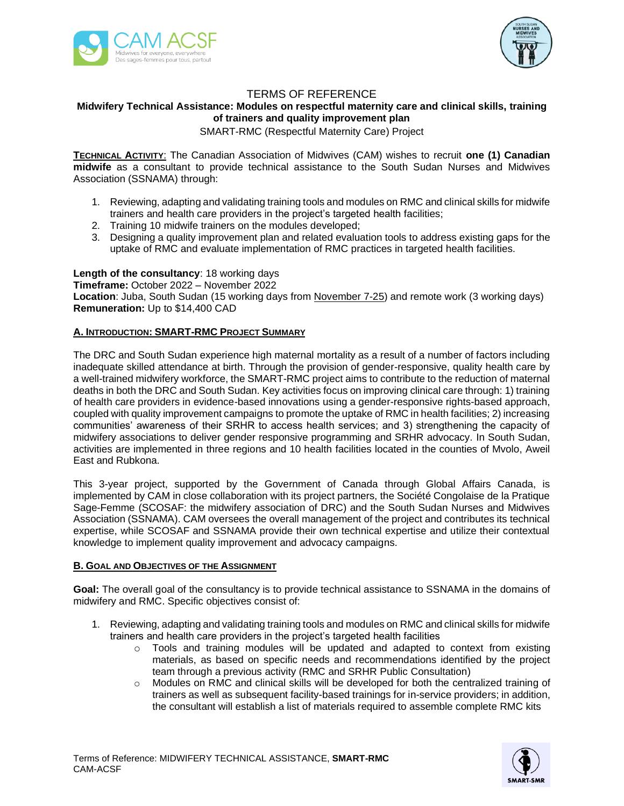



# TERMS OF REFERENCE

## **Midwifery Technical Assistance: Modules on respectful maternity care and clinical skills, training of trainers and quality improvement plan**

SMART-RMC (Respectful Maternity Care) Project

**TECHNICAL ACTIVITY**: The Canadian Association of Midwives (CAM) wishes to recruit **one (1) Canadian midwife** as a consultant to provide technical assistance to the South Sudan Nurses and Midwives Association (SSNAMA) through:

- 1. Reviewing, adapting and validating training tools and modules on RMC and clinical skills for midwife trainers and health care providers in the project's targeted health facilities;
- 2. Training 10 midwife trainers on the modules developed;
- 3. Designing a quality improvement plan and related evaluation tools to address existing gaps for the uptake of RMC and evaluate implementation of RMC practices in targeted health facilities.

**Length of the consultancy**: 18 working days **Timeframe:** October 2022 – November 2022 **Location**: Juba, South Sudan (15 working days from November 7-25) and remote work (3 working days) **Remuneration:** Up to \$14,400 CAD

### **A. INTRODUCTION: SMART-RMC PROJECT SUMMARY**

The DRC and South Sudan experience high maternal mortality as a result of a number of factors including inadequate skilled attendance at birth. Through the provision of gender-responsive, quality health care by a well-trained midwifery workforce, the SMART-RMC project aims to contribute to the reduction of maternal deaths in both the DRC and South Sudan. Key activities focus on improving clinical care through: 1) training of health care providers in evidence-based innovations using a gender-responsive rights-based approach, coupled with quality improvement campaigns to promote the uptake of RMC in health facilities; 2) increasing communities' awareness of their SRHR to access health services; and 3) strengthening the capacity of midwifery associations to deliver gender responsive programming and SRHR advocacy. In South Sudan, activities are implemented in three regions and 10 health facilities located in the counties of Mvolo, Aweil East and Rubkona.

This 3-year project, supported by the Government of Canada through Global Affairs Canada, is implemented by CAM in close collaboration with its project partners, the Société Congolaise de la Pratique Sage-Femme (SCOSAF: the midwifery association of DRC) and the South Sudan Nurses and Midwives Association (SSNAMA). CAM oversees the overall management of the project and contributes its technical expertise, while SCOSAF and SSNAMA provide their own technical expertise and utilize their contextual knowledge to implement quality improvement and advocacy campaigns.

#### **B. GOAL AND OBJECTIVES OF THE ASSIGNMENT**

**Goal:** The overall goal of the consultancy is to provide technical assistance to SSNAMA in the domains of midwifery and RMC. Specific objectives consist of:

- 1. Reviewing, adapting and validating training tools and modules on RMC and clinical skills for midwife trainers and health care providers in the project's targeted health facilities
	- o Tools and training modules will be updated and adapted to context from existing materials, as based on specific needs and recommendations identified by the project team through a previous activity (RMC and SRHR Public Consultation)
	- o Modules on RMC and clinical skills will be developed for both the centralized training of trainers as well as subsequent facility-based trainings for in-service providers; in addition, the consultant will establish a list of materials required to assemble complete RMC kits

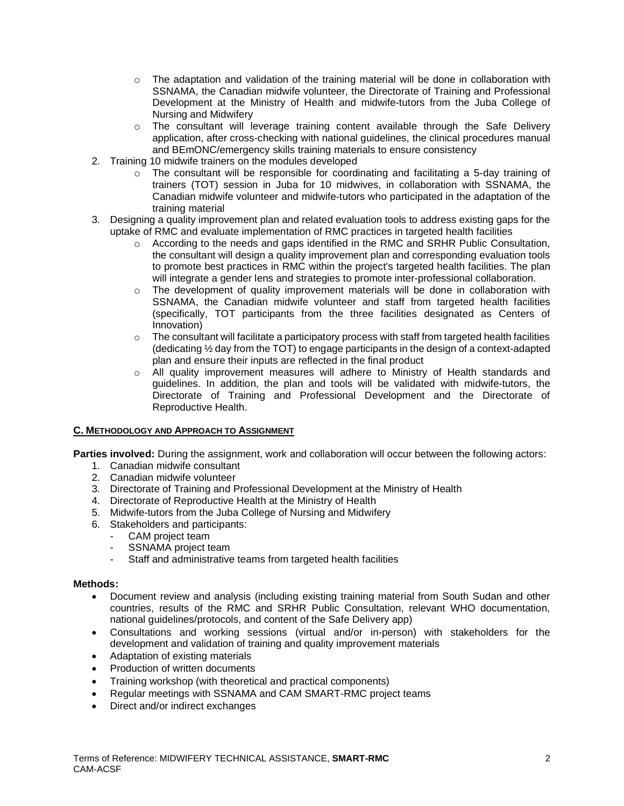- $\circ$  The adaptation and validation of the training material will be done in collaboration with SSNAMA, the Canadian midwife volunteer, the Directorate of Training and Professional Development at the Ministry of Health and midwife-tutors from the Juba College of Nursing and Midwifery
- $\circ$  The consultant will leverage training content available through the Safe Delivery application, after cross-checking with national guidelines, the clinical procedures manual and BEmONC/emergency skills training materials to ensure consistency
- 2. Training 10 midwife trainers on the modules developed
	- $\circ$  The consultant will be responsible for coordinating and facilitating a 5-day training of trainers (TOT) session in Juba for 10 midwives, in collaboration with SSNAMA, the Canadian midwife volunteer and midwife-tutors who participated in the adaptation of the training material
- 3. Designing a quality improvement plan and related evaluation tools to address existing gaps for the uptake of RMC and evaluate implementation of RMC practices in targeted health facilities
	- o According to the needs and gaps identified in the RMC and SRHR Public Consultation, the consultant will design a quality improvement plan and corresponding evaluation tools to promote best practices in RMC within the project's targeted health facilities. The plan will integrate a gender lens and strategies to promote inter-professional collaboration.
	- $\circ$  The development of quality improvement materials will be done in collaboration with SSNAMA, the Canadian midwife volunteer and staff from targeted health facilities (specifically, TOT participants from the three facilities designated as Centers of Innovation)
	- $\circ$  The consultant will facilitate a participatory process with staff from targeted health facilities (dedicating ½ day from the TOT) to engage participants in the design of a context-adapted plan and ensure their inputs are reflected in the final product
	- $\circ$  All quality improvement measures will adhere to Ministry of Health standards and guidelines. In addition, the plan and tools will be validated with midwife-tutors, the Directorate of Training and Professional Development and the Directorate of Reproductive Health.

## **C. METHODOLOGY AND APPROACH TO ASSIGNMENT**

**Parties involved:** During the assignment, work and collaboration will occur between the following actors:

- 1. Canadian midwife consultant
- 2. Canadian midwife volunteer
- 3. Directorate of Training and Professional Development at the Ministry of Health
- 4. Directorate of Reproductive Health at the Ministry of Health
- 5. Midwife-tutors from the Juba College of Nursing and Midwifery
- 6. Stakeholders and participants:
	- CAM project team
	- SSNAMA project team
	- Staff and administrative teams from targeted health facilities

## **Methods:**

- Document review and analysis (including existing training material from South Sudan and other countries, results of the RMC and SRHR Public Consultation, relevant WHO documentation, national guidelines/protocols, and content of the Safe Delivery app)
- Consultations and working sessions (virtual and/or in-person) with stakeholders for the development and validation of training and quality improvement materials
- Adaptation of existing materials
- Production of written documents
- Training workshop (with theoretical and practical components)
- Regular meetings with SSNAMA and CAM SMART-RMC project teams
- Direct and/or indirect exchanges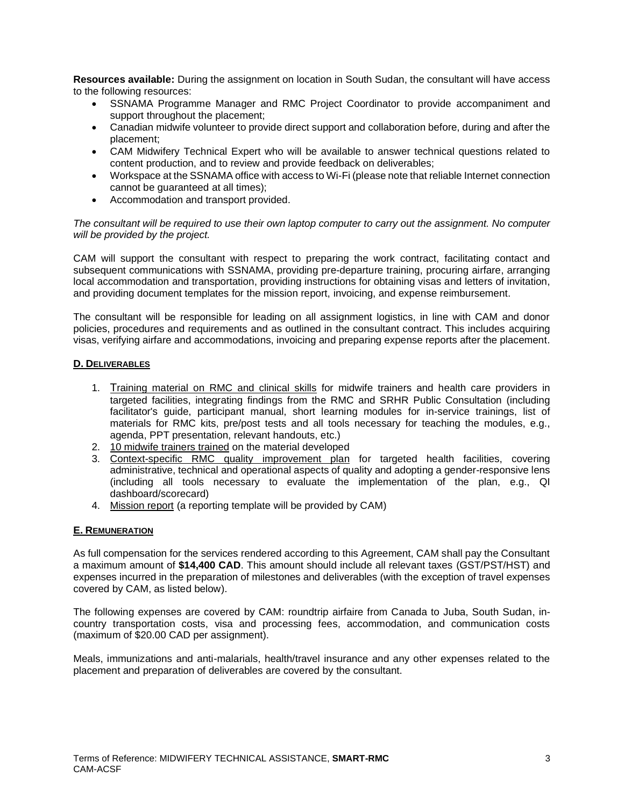**Resources available:** During the assignment on location in South Sudan, the consultant will have access to the following resources:

- SSNAMA Programme Manager and RMC Project Coordinator to provide accompaniment and support throughout the placement;
- Canadian midwife volunteer to provide direct support and collaboration before, during and after the placement;
- CAM Midwifery Technical Expert who will be available to answer technical questions related to content production, and to review and provide feedback on deliverables;
- Workspace at the SSNAMA office with access to Wi-Fi (please note that reliable Internet connection cannot be guaranteed at all times);
- Accommodation and transport provided.

*The consultant will be required to use their own laptop computer to carry out the assignment. No computer will be provided by the project.*

CAM will support the consultant with respect to preparing the work contract, facilitating contact and subsequent communications with SSNAMA, providing pre-departure training, procuring airfare, arranging local accommodation and transportation, providing instructions for obtaining visas and letters of invitation, and providing document templates for the mission report, invoicing, and expense reimbursement.

The consultant will be responsible for leading on all assignment logistics, in line with CAM and donor policies, procedures and requirements and as outlined in the consultant contract. This includes acquiring visas, verifying airfare and accommodations, invoicing and preparing expense reports after the placement.

### **D. DELIVERABLES**

- 1. Training material on RMC and clinical skills for midwife trainers and health care providers in targeted facilities, integrating findings from the RMC and SRHR Public Consultation (including facilitator's guide, participant manual, short learning modules for in-service trainings, list of materials for RMC kits, pre/post tests and all tools necessary for teaching the modules, e.g., agenda, PPT presentation, relevant handouts, etc.)
- 2. 10 midwife trainers trained on the material developed
- 3. Context-specific RMC quality improvement plan for targeted health facilities, covering administrative, technical and operational aspects of quality and adopting a gender-responsive lens (including all tools necessary to evaluate the implementation of the plan, e.g., QI dashboard/scorecard)
- 4. Mission report (a reporting template will be provided by CAM)

#### **E. REMUNERATION**

As full compensation for the services rendered according to this Agreement, CAM shall pay the Consultant a maximum amount of **\$14,400 CAD**. This amount should include all relevant taxes (GST/PST/HST) and expenses incurred in the preparation of milestones and deliverables (with the exception of travel expenses covered by CAM, as listed below).

The following expenses are covered by CAM: roundtrip airfaire from Canada to Juba, South Sudan, incountry transportation costs, visa and processing fees, accommodation, and communication costs (maximum of \$20.00 CAD per assignment).

Meals, immunizations and anti-malarials, health/travel insurance and any other expenses related to the placement and preparation of deliverables are covered by the consultant.